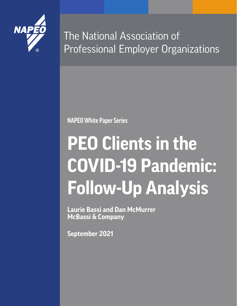

The National Association of Professional Employer Organizations

**NAPEO White Paper Series**

# **PEO Clients in the COVID-19 Pandemic: Follow-Up Analysis**

**Laurie Bassi and Dan McMurrer McBassi & Company**

**September 2021**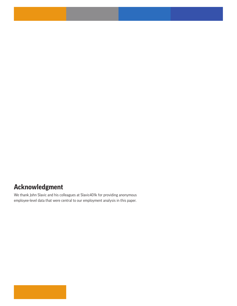## **Acknowledgment**

We thank John Slavic and his colleagues at Slavic401k for providing anonymous employee-level data that were central to our employment analysis in this paper.

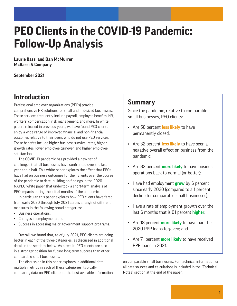## **PEO Clients in the COVID-19 Pandemic: Follow-Up Analysis**

**Laurie Bassi and Dan McMurrer McBassi & Company**

**September 2021**

## **Introduction**

Professional employer organizations (PEOs) provide comprehensive HR solutions for small and mid-sized businesses. These services frequently include payroll, employee benefits, HR, workers' compensation, risk management, and more. In white papers released in previous years, we have found PEO clients enjoy a wide range of improved financial and non-financial outcomes relative to their peers who do not use PEO services. These benefits include higher business survival rates, higher growth rates, lower employee turnover, and higher employee satisfaction.

The COVID-19 pandemic has provided a new set of challenges that all businesses have confronted over the last year and a half. This white paper explores the effect that PEOs have had on business outcomes for their clients over the course of the pandemic to date, building on findings in the 2020 NAPEO white paper that undertook a short-term analysis of PEO impacts during the initial months of the pandemic.

In particular, this paper explores how PEO clients have fared from early 2020 through July 2021 across a range of different measures in the following broad categories:

- Business operations;
- Changes in employment; and
- Success in accessing major government support programs.

Overall, we found that, as of July 2021, PEO clients are doing better in each of the three categories, as discussed in additional detail in the sections below. As a result, PEO clients are also in a stronger position for future long-term success than other comparable small businesses.

The discussion in this paper explores in additional detail multiple metrics in each of these categories, typically comparing data on PEO clients to the best available information

## **Summary**

Since the pandemic, relative to comparable small businesses, PEO clients:

- Are 58 percent **less likely** to have permanently closed;
- Are 32 percent **less likely** to have seen a negative overall effect on business from the pandemic;
- Are 82 percent **more likely** to have business operations back to normal (or better);
- Have had employment **grow** by 6 percent since early 2020 (compared to a 1 percent decline for comparable small businesses);
- Have a rate of employment growth over the last 6 months that is 81 percent **higher**;
- Are 18 percent **more likely** to have had their 2020 PPP loans forgiven; and
- Are 71 percent **more likely** to have received PPP loans in 2021.

on comparable small businesses. Full technical information on all data sources and calculations is included in the "Technical Notes" section at the end of the paper.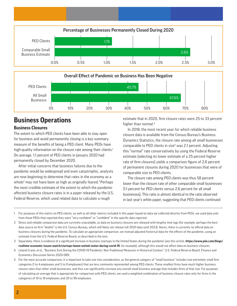



## **Business Operations**

#### **Business Closures**

The extent to which PEO clients have been able to stay open for business and avoid permanently closing is a key summary measure of the benefits of being a PEO client. Many PEOs have high-quality information on the closure rate among their clients.<sup>1</sup> On average, 1.1 percent of PEO clients in January 2020 had permanently closed by December 2020.

After initial concerns that business failures due to the pandemic would be widespread and even catastrophic, analysts are now beginning to determine that rates in the economy as a whole<sup>2</sup> may not have been as high as originally feared.<sup>3</sup> Perhaps the most credible estimate of the extent to which the pandemic affected business closure rates is in a paper released by the U.S. Federal Reserve, which used related data to calculate a rough

estimate that in 2020, firm closure rates were 25 to 33 percent higher than normal.<sup>4</sup>

In 2018, the most recent year for which reliable business closure data is available from the Census Bureau's Business Dynamics Statistics, the closure rate among all small businesses comparable to PEO clients in size<sup>5</sup> was 2.1 percent. Adjusting this "normal" rate conservatively by using the Federal Reserve estimate (selecting its lower estimate of a 25 percent higher rate of firm closures) yields a comparison figure of 2.6 percent of permanent closures during 2020 for businesses that were of comparable size to PEO clients.

The closure rate among PEO clients was thus 58 percent lower than the closure rate of other comparable small businesses (1.1 percent for PEO clients versus 2.6 percent for all small businesses). This ratio is almost identical to the ratio observed in last year's white paper, suggesting that PEO clients continued

- 1 For purposes of this metric on PEO clients, as well as all other metrics included in this paper based on data we collected directly from PEOs, we used data only from those PEOs that reported they were "very confident" or "confident" in the specific data reported.
- 2 Direct and reliable comparison data are currently unavailable, as data on business closures are released with lengthy time lags (for example, perhaps the best data source on firm "deaths" is the U.S. Census Bureau, which will likely not release full 2020 data until 2023). Hence, there is currently no official data on business closures during the pandemic. To calculate an appropriate comparison, we instead adjusted historical data for the effects of the pandemic, using an estimate from the U.S. Federal Reserve Board, as described in the text.
- 3 Separately, there is evidence of a significant increase in business startups in the United States during the pandemic (see this article, **https://www.piie.com/blogs/ realtime-economic-issues-watch/startups-boom-united-states-during-covid-19**, for example), although this would not affect data on business closures.
- 4 Leland Crane, *et al.*, "Business Exit During the COVID-19 Pandemic: Non-Traditional Measures in Historical Context," U.S. Federal Reserve Board, Finance and Economics Discussion Series 2020-089.
- 5 For the most accurate comparison, it is important to take size into consideration, as the general category of "small business" includes two extremely small firm categories (1 to 4 employees and 5 to 9 employees) that are less commonly represented among PEO clients. These smallest firms have much higher business closure rates than other small businesses, and thus can significantly increase any overall small business average that includes firms of that size. For purposes of calculating an average that is appropriate for comparison with PEO clients, we used a weighted combination of business closure rates only for firms in the categories of 10 to 19 employees and 20 to 99 employees.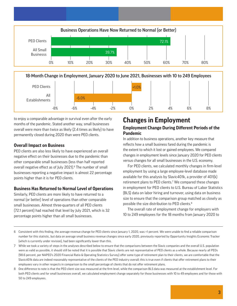

18-Month Change in Employment, January 2020 to June 2021, Businesses with 10 to 249 Employees



to enjoy a comparable advantage in survival even after the early months of the pandemic. Stated another way, small businesses overall were more than twice as likely (2.4 times as likely) to have permanently closed during 2020 than were PEO clients.

#### **Overall Impact on Business**

PEO clients are also less likely to have experienced an overall negative effect on their businesses due to the pandemic than other comparable small businesses (less than half reported overall negative effect as of July 2021).<sup>6</sup> The number of small businesses reporting a negative impact is almost 22 percentage points higher than it is for PEO clients.

#### **Business Has Returned to Normal Level of Operations**

Similarly, PEO clients are more likely to have returned to a normal (or better) level of operations than other comparable small businesses. Almost three-quarters of all PEO clients (72.1 percent) had reached that level by July 2021, which is 32 percentage points higher than all small businesses.

#### **Changes in Employment Employment Change During Different Periods of the Pandemic**

In addition to business operations, another key measure that reflects how a small business fared during the pandemic is the extent to which it lost or gained employees. We compared changes in employment levels since January 2020 for PEO clients versus changes for all small businesses in the U.S. economy.

For PEO clients, we calculated monthly changes in firm-level employment by using a large employee-level database made available for this analysis by Slavic401k, a provider of 401(k) retirement plans to PEO clients.<sup>7</sup> We compared these changes in employment for PEO clients to U.S. Bureau of Labor Statistics (BLS) data on labor hiring and turnover, using data on business size to ensure that the comparison group matched as closely as possible the size distribution to PEO clients.<sup>8</sup>

The overall rate of employment change for employers with 10 to 249 employees for the 18 months from January 2020 to

- 6 Consistent with this finding, the average revenue change for PEO clients since January 1, 2020, was +1 percent. We were unable to find a reliable comparison number for this statistic, but data on average small business revenue changes since early 2020, previously reported by Opportunity Insights Economic Tracker (which is currently under revision), had been significantly lower than this.
- 7 While we took a variety of steps in the analyses described below to ensure that the comparisons between the Slavic companies and the overall U.S. population were as valid as possible, it should still be noted that it is possible that Slavic clients are not representative of PEO clients as a whole. Because nearly all PEOs (98.6 percent, per NAPEO's 2020 Financial Ratio & Operating Statistics Survey) offer some type of retirement plan to their clients, we are comfortable that the Slavic401k data are indeed reasonably representative of the clients of the PEO industry overall; this is true even if clients that offer retirement plans to their employees vary in other respects in comparison to the small percentage of clients that do not offer retirement plans.
- 8 One difference to note is that the PEO client size was measured at the firm level, while the comparison BLS data was measured at the establishment level. For both PEO clients and for small businesses overall, we calculated employment change separately for those businesses with 10 to 49 employees and for those with 50 to 249 employees.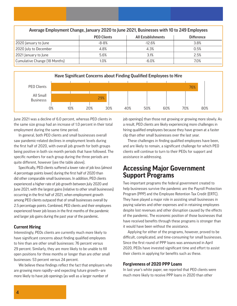| Average Employment Change, January 2020 to June 2021, Businesses with 10 to 249 Employees |                    |                           |                   |  |  |
|-------------------------------------------------------------------------------------------|--------------------|---------------------------|-------------------|--|--|
|                                                                                           | <b>PEO Clients</b> | <b>All Establishments</b> | <b>Difference</b> |  |  |
| 2020 January to June                                                                      | -8-8%              | $-12.6%$                  | 3.8%              |  |  |
| 2020 July to December                                                                     | 4.8%               | 4.3%                      | 0.5%              |  |  |
| 2021 January to June                                                                      | 5.6%               | 3.1%                      | 2.5%              |  |  |
| Cumulative Change (18 Months)                                                             | 1.0%               | $-6.0\%$                  | 7.0%              |  |  |
|                                                                                           |                    |                           |                   |  |  |



June 2021 was a decline of 6.0 percent, whereas PEO clients in the same size group had an increase of 1.0 percent in their total employment during the same time period.

In general, both PEO clients and small businesses overall saw pandemic-related declines in employment levels during the first half of 2020, with overall job growth for both groups being positive in both six month periods that have followed. The specific numbers for each group during the three periods are quite different, however (see the table above).

Specifically, PEO clients suffered a lower rate of job loss (almost 4 percentage points lower) during the first half of 2020 than did other comparable small businesses. In addition, PEO clients experienced a higher rate of job growth between July 2020 and June 2021, with the largest gains (relative to other small businesses) occurring in the first half of 2021, when employment growth among PEO clients outpaced that of small businesses overall by 2.5 percentage points. Combined, PEO clients and their employees experienced fewer job losses in the first months of the pandemic and larger job gains during the past year of the pandemic.

#### **Current Hiring**

Interestingly, PEOs clients are currently much more likely to have significant concerns about finding qualified employees to hire than are other small businesses: 76 percent versus 29 percent. Similarly, they are more likely to be unable to fill open positions for three months or longer than are other small businesses: 53 percent versus 24 percent.

We believe these findings reflect the fact that employers who are growing more rapidly—and expecting future growth—are more likely to have job openings (as well as a larger number of

job openings) than those not growing or growing more slowly. As a result, PEO clients are likely experiencing more challenges in hiring qualified employees because they have grown at a faster clip than other small businesses over the last year.

These challenges in finding qualified employees have been, and are likely to remain, a significant challenge for which PEO clients will continue to turn to their PEOs for support and assistance in addressing.

### **Accessing Major Government Support Programs**

Two important programs the federal government created to help businesses survive the pandemic are the Payroll Protection Program (PPP) and the Employee Retention Tax Credit (ERTC). They have played a major role in assisting small businesses in paying salaries and other expenses and in retaining employees despite lost revenues and other disruption caused by the effects of the pandemic. The economic position of those businesses that have received benefits through these programs is stronger than it would have been without the assistance.

Applying for either of the programs, however, proved to be difficult, complicated, and time-consuming for small businesses. Since the first round of PPP loans was announced in April 2020, PEOs have invested significant time and effort to assist their clients in applying for benefits such as these.

#### **Forgiveness of 2020 PPP Loans**

In last year's white paper, we reported that PEO clients were much more likely to receive PPP loans in 2020 than other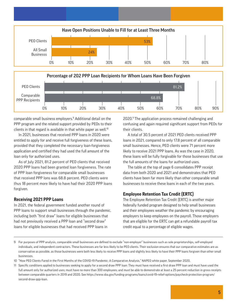



comparable small business employers.<sup>9</sup> Additional detail on the PPP program and the related support provided by PEOs to their clients in that regard is available in that white paper as well.<sup>10</sup>

In 2021, businesses that received PPP loans in 2020 were entitled to apply for and receive full forgiveness of these loans, provided that they completed the necessary loan-forgiveness application and certified they had used the full amount of the loan only for authorized uses.

As of July 2021, 81.2 percent of PEO clients that received 2020 PPP loans had been granted loan forgiveness. The rate of PPP loan forgiveness for comparable small businesses that received PPP lons was 68.8 percent. PEO clients were thus 18 percent more likely to have had their 2020 PPP loans forgiven.

#### **Receiving 2021 PPP Loans**

In 2021, the federal government funded another round of PPP loans to support small businesses through the pandemic, including both "first draw" loans for eligible businesses that had not previously received a PPP loan and "second draw" loans for eligible businesses that had received PPP loans in

2020.<sup>11</sup> The application process remained challenging and confusing and again required significant support from PEOs for their clients.

A total of 30.5 percent of 2021 PEO clients received PPP loans in 2021, compared to only 17.8 percent of all comparable small businesses. Hence, PEO clients were 71 percent more likely to receive 2021 PPP loans. As was the case in 2020, these loans will be fully forgivable for those businesses that use the full amounts of the loans for authorized uses.

The table at the top of page 6 consolidates PPP receipt data from both 2020 and 2021 and demonstrates that PEO clients have been far more likely than other comparable small businesses to receive these loans in each of the two years.

#### **Employee Retention Tax Credit (ERTC)**

The Employee Retention Tax Credit (ERTC) is another major federally funded program designed to help small businesses and their employees weather the pandemic by encouraging employers to keep employees on the payroll. Those employers that are eligible for the ERTC can get a refundable payroll tax credit equal to a percentage of eligible wages.

<sup>9</sup> For purposes of PPP analysis, comparable small businesses are defined to exclude "non-employer" businesses such as sole proprietorships, self-employed individuals, and independent contractors. These businesses are far less likely to be PEO clients. Their exclusion ensures that our comparative estimates are as conservative as possible, as those businesses were both less likely to receive PPP loans and slightly less likely to have their PPP loans forgiven than other small businesses.

<sup>10 &</sup>quot;How PEO Clients Fared in the First Months of the COVID-19 Pandemic: A Comparative Analysis," NAPEO white paper, September 2020.

<sup>11</sup> Specific conditions applied to businesses seeking to apply for a second draw PPP loan: They must have received a first draw PPP loan and must have used the full amount only for authorized uses; must have no more than 300 employees; and must be able to demonstrate at least a 25 percent reduction in gross receipts between comparable quarters in 2019 and 2020. See https://www.sba.gov/funding-programs/loans/covid-19-relief-options/paycheck-protection-program/ second-draw-ppp-loan.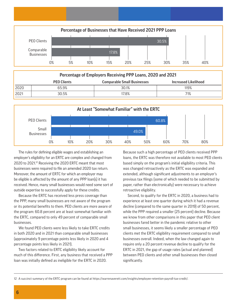

| Percentage of Employers Receiving PPP Loans, 2020 and 2021 |                    |                                    |                             |
|------------------------------------------------------------|--------------------|------------------------------------|-----------------------------|
|                                                            | <b>PEO Clients</b> | <b>Comparable Small Businesses</b> | <b>Increased Likelihood</b> |
| 2020                                                       | 65.9%              | 30.1%                              | 119%                        |
| 2021                                                       | 30.5%              | 17.8%                              | 71%                         |



The rules for defining eligible wages and establishing an employer's eligibility for an ERTC are complex and changed from 2020 to 2021.<sup>12</sup> Receiving the 2020 ERTC meant that most businesses were required to file an amended 2020 tax return. Moreover, the amount of ERTC for which an employer may be eligible is affected by the amount of any PPP loan(s) it has received. Hence, many small businesses would need some sort of outside expertise to successfully apply for these credits.

Because the ERTC has received less press coverage than the PPP, many small businesses are not aware of the program or its potential benefits to them. PEO clients are more aware of the program: 60.8 percent are at least somewhat familiar with the ERTC, compared to only 49 percent of comparable small businesses.

We found PEO clients were less likely to take ERTC credits in both 2020 and in 2021 than comparable small businesses (approximately 9 percentage points less likely in 2020 and 4 percentage points less likely in 2021).

Two factors related to ERTC eligibility likely account for much of this difference. First, any business that received a PPP loan was initially defined as ineligible for the ERTC in 2020.

Because such a high percentage of PEO clients received PPP loans, the ERTC was therefore not available to most PEO clients based simply on the program's initial eligibility criteria. This was changed retroactively as the ERTC was expanded and extended, although significant adjustments to an employer's previous tax filings (some of which needed to be submitted by paper, rather than electronically) were necessary to achieve retroactive eligibility.

Second, to qualify for the ERTC in 2020, a business had to experience at least one quarter during which it had a revenue decline (compared to the same quarter in 2019) of 50 percent, while the PPP required a smaller (25 percent) decline. Because we know from other comparisons in this paper that PEO client businesses fared better in the pandemic relative to other small businesses, it seems likely a smaller percentage of PEO clients met the ERTC eligibility requirement compared to small businesses overall. Indeed, when the law changed again to require only a 20 percent revenue decline to qualify for the ERTC in 2021, the gap of usage rates (actual and planned) between PEO clients and other small businesses then closed significantly.

<sup>12</sup> A succinct summary of the ERTC program can be found at https://warrenaverett.com/insights/employee-retention-payroll-tax-credit/.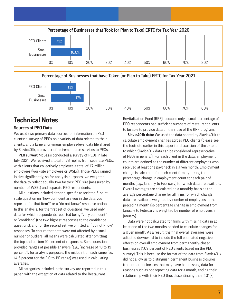

0% 10% 20% 30% 40% 50% 60% 70% 80%

## **Technical Notes**

#### **Sources of PEO Data**

We used two primary data sources for information on PEO clients: a survey of PEOs on a variety of data related to their clients, and a large anonymous employee-level data file shared by Slavic401k, a provider of retirement plan services to PEOs.

**PEO survey:** McBassi conducted a survey of PEOs in late July 2021. We received a total of 78 replies from separate PEOs, with clients that collectively employee a total of 1.7 million employees (worksite employees or WSEs). Those PEOs ranged in size significantly, so for analysis purposes, we weighted the data to reflect equally two factors: PEO size (measured by number of WSEs) and separate PEO respondents.

All questions included either a specific associated 5-pointscale question on "how confident are you in the data you reported for that item?" or a "do not know" response option. In this analysis, for the first set of questions, we used only data for which respondents reported being "very confident" or "confident" (the two highest responses to the confidence questions), and for the second set, we omitted all "do not know" responses. To ensure that data were not affected by a small number of outliers, all means were calculated after omitting the top and bottom 10 percent of responses. Some questions provided ranges of possible answers (e.g., "increase of 10 to 19 percent"); for analysis purposes, the midpoint of each range (so, 14.5 percent for the "10 to 19" range) was used in calculating averages.

All categories included in the survey are reported in this paper, with the exception of data related to the Restaurant

Revitalization Fund (RRF), because only a small percentage of PEO respondents had sufficient numbers of restaurant clients to be able to provide data on their use of the RRF program.

**Slavic401k data:** We used the data shared by Slavic401k to calculate employment changes across PEO clients (please see the footnote earlier in this paper for discussion of the extent to which Slavic401k data can be considered representative of PEOs in general). For each client in the data, employment counts are defined as the number of different employees who received at least one paycheck in a given month. Employment change is calculated for each client firm by taking the percentage change in employment count for each pair of months (e.g., January to February) for which data are available. Overall averages are calculated on a monthly basis as the average percentage change for all firms for which change data are available, weighted by number of employees in the preceding month (so percentage change in employment from January to February is weighted by number of employees in January).

Data were not calculated for firms with missing data in at least one of the two months needed to calculate changes for a given month. As a result, the final overall averages were adjusted downward to include the full estimated negative effects on overall employment from permanently-closed businesses (1.09 percent of PEO clients based on the PEO survey). This is because the format of the data from Slavic401k did not allow us to distinguish permanent business closures from other businesses that may have had missing data for reasons such as not reporting data for a month, ending their relationship with their PEO thus discontinuing their 401(k)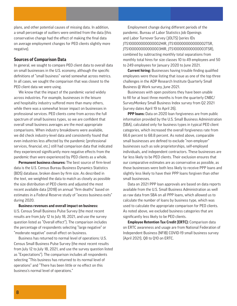plans, and other potential causes of missing data. In addition, a small percentage of outliers were omitted from the data (this conservative change had the effect of making the final data on average employment changes for PEO clients slightly more negative).

#### **Sources of Comparison Data**

In general, we sought to compare PEO client data to overall data on small businesses in the U.S. economy, although the specific definitions of "small business" varied somewhat across metrics. In all cases, we sought the comparison that was closest to the PEO client data we were using.

We know that the impact of the pandemic varied widely across industries. For example, businesses in the leisure and hospitality industry suffered more than many others, while there was a somewhat lesser impact on businesses in professional services. PEO clients come from across the full spectrum of small business types, so we are confident that overall small business averages are the most appropriate comparisons. When industry breakdowns were available, we did check industry-level data and consistently found that even industries less affected by the pandemic (professional services, financial, etc.) still had comparison data that indicated they experienced significantly more negative effects from the pandemic than were experienced by PEO clients as a whole.

**Permanent business closures:** The best source of firm-level data is the U.S. Census Bureau Business Dynamics Statistics (BDS) database, broken down by firm size. As described in the text, we weighted the data to match as closely as possible the size distribution of PEO clients and adjusted the most recent available data (2018) on annual "firm deaths" based on estimates in a Federal Reserve study of "excess business exits" during 2020.

#### **Business revenues and overall impact on business:**

U.S. Census Small Business Pulse Survey (the most recent results are from July 12 to July 18, 2021, and use the survey question listed as "Overall effect"). The comparison includes the percentage of respondents selecting "large negative" or "moderate negative" overall effect on business.

Business has returned to normal level of operations: U.S. Census Small Business Pulse Survey (the most recent results from July 12 to July 18, 2021, and use the survey question listed as "Expectations"). The comparison includes all respondents selecting "This business has returned to its normal level of operations" and "There has been little or no effect on this business's normal level of operations."

Employment change during different periods of the pandemic. Bureau of Labor Statistics Job Openings and Labor Turnover Survey (JOLTS) (series IDs JTS100000000000002HIR, JTS100000000000002TSR, JTS100000000000003HIR, JTS100000000000003TSR), combined by subtracting monthly total separations from monthly total hires for size classes 10 to 49 employees and 50 to 249 employees for January 2020 to June 2021.

**Current hiring:** Businesses having trouble finding qualified employees were those listing that issue as one of the top three challenges in the ADP Research Institute Quarterly Small Business @ Work survey, June 2021.

Businesses with open positions they have been unable to fill for at least three months is from the quarterly CNBC/ SurveyMonkey Small Business Index survey from Q2 2021 (survey dates April 19 to April 26).

**PPP loans:** Data on 2020 loan forgiveness are from public information provided by the U.S. Small Business Administration (SBA), calculated only for business types in typical PEO client categories, which increased the overall forgiveness rate from 66.6 percent to 68.8 percent. As noted above, comparable small businesses are defined to exclude "non-employer" businesses such as sole proprietorships, self-employed individuals, and independent contractors. These businesses are far less likely to be PEO clients. Their exclusion ensures that our comparative estimates are as conservative as possible, as those businesses were both less likely to receive PPP loans and slightly less likely to have their PPP loans forgiven than other small businesses.

Data on 2021 PPP loan approvals are based on data reports available from the U.S. Small Business Administration as well as raw data from SBA on all PPP loans, which allowed us to calculate the number of loans by business type, which was used to calculate the appropriate comparison for PEO clients. As noted above, we excluded business categories that are significantly less likely to be PEO clients.

**Employee Retention Tax Credit (ERTC):** Comparison data on ERTC awareness and usage are from National Federation of Independent Business (NFIB) COVID-19 small business survey (April 2021), Q8 to Q10 on ERTC.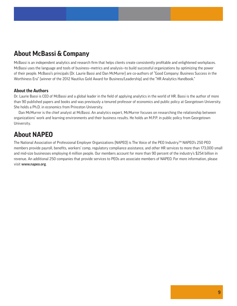## **About McBassi & Company**

McBassi is an independent analytics and research firm that helps clients create consistently profitable and enlightened workplaces. McBassi uses the language and tools of business—metrics and analysis—to build successful organizations by optimizing the power of their people. McBassi's principals (Dr. Laurie Bassi and Dan McMurrer) are co-authors of "Good Company: Business Success in the Worthiness Era" (winner of the 2012 Nautilus Gold Award for Business/Leadership) and the "HR Analytics Handbook."

#### **About the Authors**

Dr. Laurie Bassi is CEO of McBassi and a global leader in the field of applying analytics in the world of HR. Bassi is the author of more than 90 published papers and books and was previously a tenured professor of economics and public policy at Georgetown University. She holds a Ph.D. in economics from Princeton University.

Dan McMurrer is the chief analyst at McBassi. An analytics expert, McMurrer focuses on researching the relationship between organizations' work and learning environments and their business results. He holds an M.P.P. in public policy from Georgetown University.

## **About NAPEO**

The National Association of Professional Employer Organizations (NAPEO) is The Voice of the PEO Industry.TM NAPEO's 250 PEO members provide payroll, benefits, workers' comp, regulatory compliance assistance, and other HR services to more than 173,000 small and mid-size businesses employing 4 million people. Our members account for more than 90 percent of the industry's \$254 billion in revenue. An additional 250 companies that provide services to PEOs are associate members of NAPEO. For more information, please visit www.napeo.org.